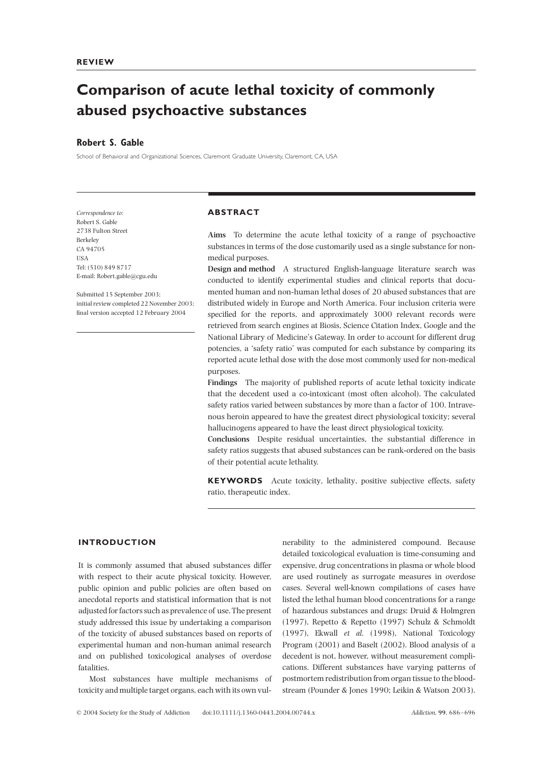# **Comparison of acute lethal toxicity of commonly abused psychoactive substances**

# **Robert S. Gable**

School of Behavioral and Organizational Sciences, Claremont Graduate University, Claremont, CA, USA

*Correspondence to:* Robert S. Gable 2738 Fulton Street Berkeley CA 94705 USA Tel: (510) 849 8717 E-mail: Robert.gable@cgu.edu

Submitted 15 September 2003; initial review completed 22 November 2003; final version accepted 12 February 2004

## **ABSTRACT**

**Aims** To determine the acute lethal toxicity of a range of psychoactive substances in terms of the dose customarily used as a single substance for nonmedical purposes.

**Design and method** A structured English-language literature search was conducted to identify experimental studies and clinical reports that documented human and non-human lethal doses of 20 abused substances that are distributed widely in Europe and North America. Four inclusion criteria were specified for the reports, and approximately 3000 relevant records were retrieved from search engines at Biosis, Science Citation Index, Google and the National Library of Medicine's Gateway. In order to account for different drug potencies, a 'safety ratio' was computed for each substance by comparing its reported acute lethal dose with the dose most commonly used for non-medical purposes.

**Findings** The majority of published reports of acute lethal toxicity indicate that the decedent used a co-intoxicant (most often alcohol). The calculated safety ratios varied between substances by more than a factor of 100. Intravenous heroin appeared to have the greatest direct physiological toxicity; several hallucinogens appeared to have the least direct physiological toxicity.

**Conclusions** Despite residual uncertainties, the substantial difference in safety ratios suggests that abused substances can be rank-ordered on the basis of their potential acute lethality.

**KEYWORDS** Acute toxicity, lethality, positive subjective effects, safety ratio, therapeutic index.

## **INTRODUCTION**

It is commonly assumed that abused substances differ with respect to their acute physical toxicity. However, public opinion and public policies are often based on anecdotal reports and statistical information that is not adjusted for factors such as prevalence of use. The present study addressed this issue by undertaking a comparison of the toxicity of abused substances based on reports of experimental human and non-human animal research and on published toxicological analyses of overdose fatalities.

Most substances have multiple mechanisms of toxicity and multiple target organs, each with its own vul-

nerability to the administered compound. Because detailed toxicological evaluation is time-consuming and expensive, drug concentrations in plasma or whole blood are used routinely as surrogate measures in overdose cases. Several well-known compilations of cases have listed the lethal human blood concentrations for a range of hazardous substances and drugs: Druid & Holmgren (1997), Repetto & Repetto (1997) Schulz & Schmoldt (1997), Ekwall *et al.* (1998), National Toxicology Program (2001) and Baselt (2002). Blood analysis of a decedent is not, however, without measurement complications. Different substances have varying patterns of postmortem redistribution from organ tissue to the bloodstream (Pounder & Jones 1990; Leikin & Watson 2003).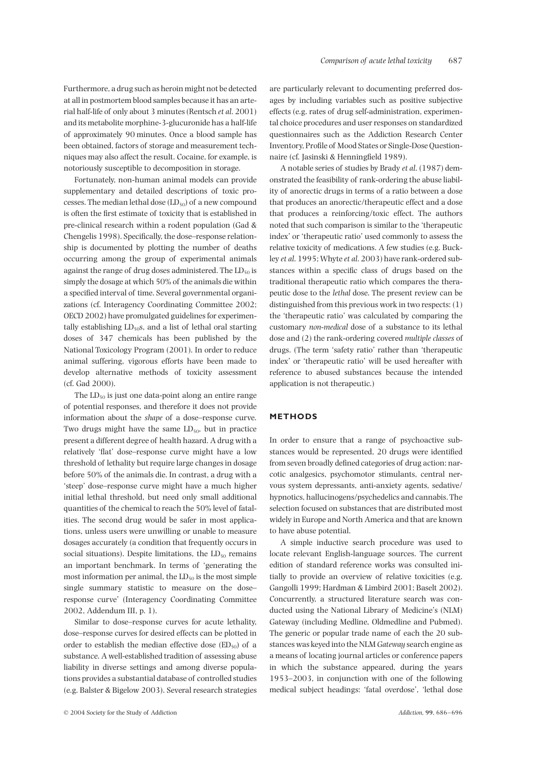Furthermore, a drug such as heroin might not be detected at all in postmortem blood samples because it has an arterial half-life of only about 3 minutes (Rentsch *et al*. 2001) and its metabolite morphine-3-glucuronide has a half-life of approximately 90 minutes. Once a blood sample has been obtained, factors of storage and measurement techniques may also affect the result. Cocaine, for example, is notoriously susceptible to decomposition in storage.

Fortunately, non-human animal models can provide supplementary and detailed descriptions of toxic processes. The median lethal dose  $(LD_{50})$  of a new compound is often the first estimate of toxicity that is established in pre-clinical research within a rodent population (Gad & Chengelis 1998). Specifically, the dose–response relationship is documented by plotting the number of deaths occurring among the group of experimental animals against the range of drug doses administered. The  $LD_{50}$  is simply the dosage at which 50% of the animals die within a specified interval of time. Several governmental organizations (cf. Interagency Coordinating Committee 2002; OECD 2002) have promulgated guidelines for experimentally establishing  $LD_{50}$ s, and a list of lethal oral starting doses of 347 chemicals has been published by the National Toxicology Program (2001). In order to reduce animal suffering, vigorous efforts have been made to develop alternative methods of toxicity assessment (cf. Gad 2000).

The  $LD_{50}$  is just one data-point along an entire range of potential responses, and therefore it does not provide information about the *shape* of a dose–response curve. Two drugs might have the same  $LD_{50}$ , but in practice present a different degree of health hazard. A drug with a relatively 'flat' dose–response curve might have a low threshold of lethality but require large changes in dosage before 50% of the animals die. In contrast, a drug with a 'steep' dose–response curve might have a much higher initial lethal threshold, but need only small additional quantities of the chemical to reach the 50% level of fatalities. The second drug would be safer in most applications, unless users were unwilling or unable to measure dosages accurately (a condition that frequently occurs in social situations). Despite limitations, the  $LD_{50}$  remains an important benchmark. In terms of 'generating the most information per animal, the  $LD_{50}$  is the most simple single summary statistic to measure on the dose– response curve' (Interagency Coordinating Committee 2002, Addendum III, p. 1).

Similar to dose–response curves for acute lethality, dose–response curves for desired effects can be plotted in order to establish the median effective dose  $(ED_{50})$  of a substance. A well-established tradition of assessing abuse liability in diverse settings and among diverse populations provides a substantial database of controlled studies (e.g. Balster & Bigelow 2003). Several research strategies

are particularly relevant to documenting preferred dosages by including variables such as positive subjective effects (e.g. rates of drug self-administration, experimental choice procedures and user responses on standardized questionnaires such as the Addiction Research Center Inventory, Profile of Mood States or Single-Dose Questionnaire (cf. Jasinski & Henningfield 1989).

A notable series of studies by Brady *et al*. (1987) demonstrated the feasibility of rank-ordering the abuse liability of anorectic drugs in terms of a ratio between a dose that produces an anorectic/therapeutic effect and a dose that produces a reinforcing/toxic effect. The authors noted that such comparison is similar to the 'therapeutic index' or 'therapeutic ratio' used commonly to assess the relative toxicity of medications. A few studies (e.g. Buckley *et al*. 1995; Whyte *et al*. 2003) have rank-ordered substances within a specific class of drugs based on the traditional therapeutic ratio which compares the therapeutic dose to the *lethal* dose. The present review can be distinguished from this previous work in two respects: (1) the 'therapeutic ratio' was calculated by comparing the customary *non-medical* dose of a substance to its lethal dose and (2) the rank-ordering covered *multiple classes* of drugs. (The term 'safety ratio' rather than 'therapeutic index' or 'therapeutic ratio' will be used hereafter with reference to abused substances because the intended application is not therapeutic.)

# **METHODS**

In order to ensure that a range of psychoactive substances would be represented, 20 drugs were identified from seven broadly defined categories of drug action: narcotic analgesics, psychomotor stimulants, central nervous system depressants, anti-anxiety agents, sedative/ hypnotics, hallucinogens/psychedelics and cannabis. The selection focused on substances that are distributed most widely in Europe and North America and that are known to have abuse potential.

A simple inductive search procedure was used to locate relevant English-language sources. The current edition of standard reference works was consulted initially to provide an overview of relative toxicities (e.g. Gangolli 1999; Hardman & Limbird 2001; Baselt 2002). Concurrently, a structured literature search was conducted using the National Library of Medicine's (NLM) Gateway (including Medline, Oldmedline and Pubmed). The generic or popular trade name of each the 20 substances was keyed into the NLM *Gateway* search engine as a means of locating journal articles or conference papers in which the substance appeared, during the years 1953–2003, in conjunction with one of the following medical subject headings: 'fatal overdose', 'lethal dose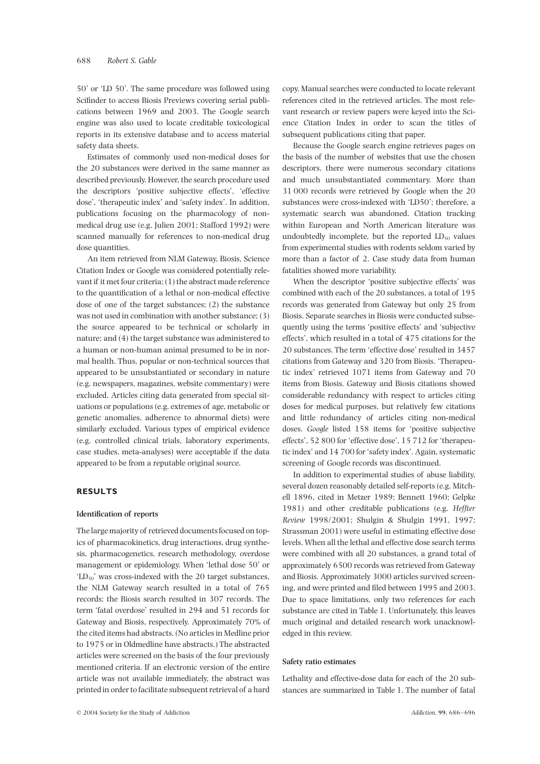50' or 'LD 50'. The same procedure was followed using Scifinder to access Biosis Previews covering serial publications between 1969 and 2003. The Google search engine was also used to locate creditable toxicological reports in its extensive database and to access material safety data sheets.

Estimates of commonly used non-medical doses for the 20 substances were derived in the same manner as described previously. However, the search procedure used the descriptors 'positive subjective effects', 'effective dose', 'therapeutic index' and 'safety index'. In addition, publications focusing on the pharmacology of nonmedical drug use (e.g. Julien 2001; Stafford 1992) were scanned manually for references to non-medical drug dose quantities.

An item retrieved from NLM Gateway, Biosis, Science Citation Index or Google was considered potentially relevant if it met four criteria: (1) the abstract made reference to the quantification of a lethal or non-medical effective dose of one of the target substances; (2) the substance was not used in combination with another substance; (3) the source appeared to be technical or scholarly in nature; and (4) the target substance was administered to a human or non-human animal presumed to be in normal health. Thus, popular or non-technical sources that appeared to be unsubstantiated or secondary in nature (e.g. newspapers, magazines, website commentary) were excluded. Articles citing data generated from special situations or populations (e.g. extremes of age, metabolic or genetic anomalies, adherence to abnormal diets) were similarly excluded. Various types of empirical evidence (e.g. controlled clinical trials, laboratory experiments, case studies, meta-analyses) were acceptable if the data appeared to be from a reputable original source.

# **RESULTS**

#### **Identification of reports**

The large majority of retrieved documents focused on topics of pharmacokinetics, drug interactions, drug synthesis, pharmacogenetics, research methodology, overdose management or epidemiology. When 'lethal dose 50' or ' $LD_{50}$ ' was cross-indexed with the 20 target substances, the NLM Gateway search resulted in a total of 765 records; the Biosis search resulted in 307 records. The term 'fatal overdose' resulted in 294 and 51 records for Gateway and Biosis, respectively. Approximately 70% of the cited items had abstracts. (No articles in Medline prior to 1975 or in Oldmedline have abstracts.) The abstracted articles were screened on the basis of the four previously mentioned criteria. If an electronic version of the entire article was not available immediately, the abstract was printed in order to facilitate subsequent retrieval of a hard

copy. Manual searches were conducted to locate relevant references cited in the retrieved articles. The most relevant research or review papers were keyed into the Science Citation Index in order to scan the titles of subsequent publications citing that paper.

Because the Google search engine retrieves pages on the basis of the number of websites that use the chosen descriptors, there were numerous secondary citations and much unsubstantiated commentary. More than 31 000 records were retrieved by Google when the 20 substances were cross-indexed with 'LD50'; therefore, a systematic search was abandoned. Citation tracking within European and North American literature was undoubtedly incomplete, but the reported  $LD_{50}$  values from experimental studies with rodents seldom varied by more than a factor of 2. Case study data from human fatalities showed more variability.

When the descriptor 'positive subjective effects' was combined with each of the 20 substances, a total of 195 records was generated from Gateway but only 25 from Biosis. Separate searches in Biosis were conducted subsequently using the terms 'positive effects' and 'subjective effects', which resulted in a total of 475 citations for the 20 substances. The term 'effective dose' resulted in 3457 citations from Gateway and 320 from Biosis. 'Therapeutic index' retrieved 1071 items from Gateway and 70 items from Biosis. Gateway and Biosis citations showed considerable redundancy with respect to articles citing doses for medical purposes, but relatively few citations and little redundancy of articles citing non-medical doses. *Google* listed 158 items for 'positive subjective effects', 52 800 for 'effective dose', 15 712 for 'therapeutic index' and 14 700 for 'safety index'. Again, systematic screening of Google records was discontinued.

In addition to experimental studies of abuse liability, several dozen reasonably detailed self-reports (e.g. Mitchell 1896, cited in Metzer 1989; Bennett 1960; Gelpke 1981) and other creditable publications (e.g. *Heffter Review* 1998/2001; Shulgin & Shulgin 1991, 1997; Strassman 2001) were useful in estimating effective dose levels. When all the lethal and effective dose search terms were combined with all 20 substances, a grand total of approximately 6500 records was retrieved from Gateway and Biosis*.* Approximately 3000 articles survived screening, and were printed and filed between 1995 and 2003. Due to space limitations, only two references for each substance are cited in Table 1. Unfortunately, this leaves much original and detailed research work unacknowledged in this review.

#### **Safety ratio estimates**

Lethality and effective-dose data for each of the 20 substances are summarized in Table 1. The number of fatal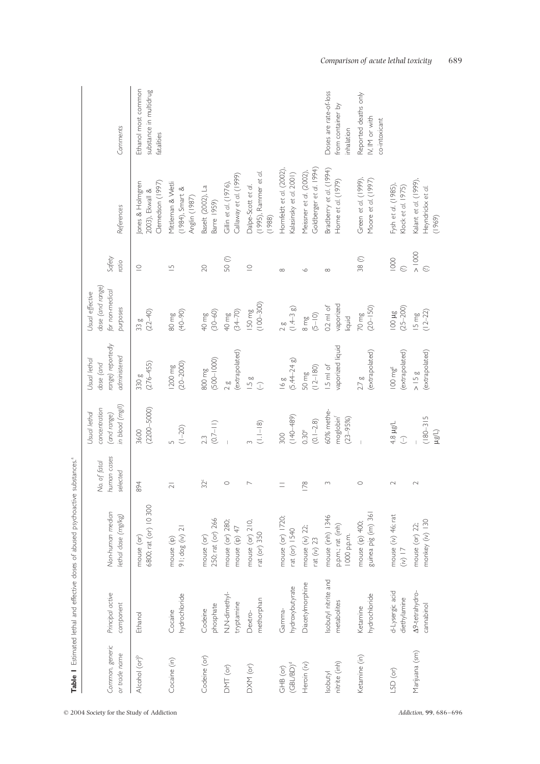| Common, generic<br>or trade name | Principal active<br>component       | Non-human median<br>lethal dose (mg/kg)              | human cases<br>No. of fatal<br>selected | in blood (mg/l)<br>concentration<br>Usual lethal<br>(and range) | range) reportedly<br>administered<br>Usual lethal<br>dose (and | dose (and range)<br>for non-medical<br>Usual effective<br>burposes | Safety<br>ratio          | References                                                                              | Comments                                                    |
|----------------------------------|-------------------------------------|------------------------------------------------------|-----------------------------------------|-----------------------------------------------------------------|----------------------------------------------------------------|--------------------------------------------------------------------|--------------------------|-----------------------------------------------------------------------------------------|-------------------------------------------------------------|
| Alcohol (or) <sup>b</sup>        | Ethanol                             | 6800; rat (or) 10 300<br>mouse (or)                  | 894                                     | $(2200 - 5000)$<br>3600                                         | $(276 - 455)$<br>330 g                                         | $(22 - 40)$<br>338                                                 | $\supseteq$              | ones & Holmgren<br>Clemedson (1997)<br>2003), Ekwall &                                  | Ethanol most common<br>substance in multidrug<br>fatalities |
| Cocaine (in)                     | hydrochloride<br>Cocaine            | 91; dog (iv) 21<br>mouse (ip)                        | $\overline{\sim}$                       | $(1 - 20)$                                                      | $(20 - 2000)$<br>1200 mg                                       | $(40 - 90)$<br>80 mg                                               | $\overline{\phantom{0}}$ | Mittleman & Wetli<br>(1984), Smart &<br>Anglin (1987)                                   |                                                             |
| Codeine (or)                     | phosphate<br>Codeine                | 250; rat (or) 266<br>mouse (or)                      | 32 <sup>c</sup>                         | $(0.7 - 11)$<br>23                                              | $(500 - 1000)$<br>800 mg                                       | $(30 - 60)$<br>40 mg                                               | $\infty$                 | Baselt (2002), La<br>Barre (959)                                                        |                                                             |
| $DMT($ or)                       | N.N-dimethyl-<br>tryptamine         | mouse (or) 280;<br>mouse (ip) 47                     | $\circ$                                 |                                                                 | (extrapolated)<br>$\frac{8}{3}$                                | $(34 - 70)$<br>40 mg                                               | $50($                    | Callaway et al. (1999)<br>Gillin et al. (1976)                                          |                                                             |
| $DXM$ (or)                       | methorphan<br>Dextro-               | mouse (or) 210,<br>rat (or) 350                      | $\overline{ }$                          | $(1.1 - 18)$                                                    | $5\frac{8}{5}$<br>$\bigcirc$                                   | $(100-300)$<br>150 mg                                              | $\subseteq$              | (1995), Rammer et al.<br>Dalpe-Scott et al.<br>(1988)                                   |                                                             |
| ${\rm (GBLBD)^d}$<br>GHB (or)    | hydroxybutyrate<br>Gamma-           | mouse (or) 1720;<br>rat (or) 1540                    | $\equiv$                                | $(140 - 489)$<br>300                                            | $(5.44 - 24 g)$<br>$\frac{8}{6}$                               | $(1.4 - 3 g)$<br>$\frac{8}{2}$                                     | $\infty$                 | Homfeldt et al. (2002)<br><alasinsky 2001)<="" al.="" et="" td=""><td></td></alasinsky> |                                                             |
| Heroin (iv)                      | Diacetylmorphine                    | mouse (iv) 22;<br>rat $(iv)$ 23                      | 78                                      | $(0.1 - 2.8)$<br>0.30 <sup>e</sup>                              | $(12 - 180)$<br>50 mg                                          | $(5 - 10)$<br>$8 \, \text{mg}$                                     | $\circ$                  | Goldberger et al. 1994)<br>Meissner et al. (2002)                                       |                                                             |
| nitrite (inh)<br><b>Isobuty</b>  | Isobutyl nitrite and<br>metabolites | mouse (inh) 1346<br>p.p.m.; rat (inh)<br>1000 p.p.m. | $\sim$                                  | 60% methe-<br>moglobin <sup>f</sup><br>$(23 - 95%)$             | vaporized liquid<br>1.5 ml of                                  | vaporized<br>$0.2$ ml of<br>liquid                                 | $\infty$                 | Bradberry et al. (1994)<br>Home et al. (1979)                                           | Doses are rate-of-loss<br>from container by<br>nhalation    |
| Ketamine (in)                    | hydrochloride<br>Ketamine           | guinea pig (im) 36<br>mouse (ip) 400;                | $\circ$                                 |                                                                 | (extrapolated)<br>2.7g                                         | $(20 - 150)$<br>70 mg                                              | 38 (?)                   | Green et al. (1999),<br>Moore et al. (1997)                                             | Reported deaths only<br>IV, IM or with<br>co-intoxicant     |
| LSD <sub>(or)</sub>              | d-Lysergic acid<br>diethylamine     | mouse $(iv)$ 46; rat $(iv)$ 17                       | $\sim$                                  | $4.8 \ \mathrm{\mu g/L}$<br>$\mathbb{C}$                        | (extrapolated)<br>100 mg <sup>8</sup>                          | $(25 - 200)$<br>$100 \text{ Hz}$                                   | 1000<br>$\odot$          | Fysh et al. (1985),<br>Klock et al. 1975)                                               |                                                             |
| Marijuana (sm)                   | A9-tetrahydro-<br>cannabinol        | monkey (iv) 130<br>mouse (or) 22;                    | $\sim$                                  | $(180 - 315)$<br>$\mu$ g/L)                                     | (extrapolated)<br>$\frac{50}{10}$                              | $(12 - 22)$<br>I5 mg                                               | $\frac{1000}{\sqrt{2}}$  | Kalant et al. (1999),<br>Heyndrickx et al.<br>(1969)                                    |                                                             |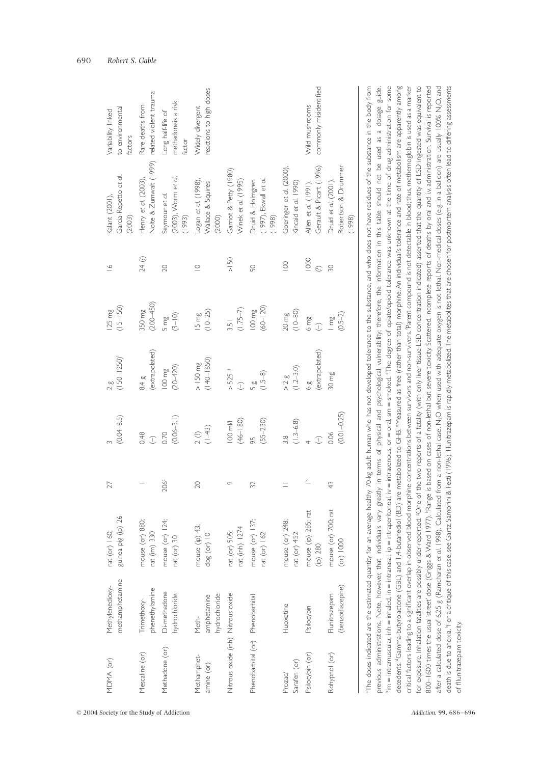|                                                   | 70-kg adult human who has not developed tolerance to the substance, and who does not have residues of the substance in the body from |                 |                                               |                                      |                          |                  | "The doses indicated are the estimated quantity for an average healthy |                                       |                                   |
|---------------------------------------------------|--------------------------------------------------------------------------------------------------------------------------------------|-----------------|-----------------------------------------------|--------------------------------------|--------------------------|------------------|------------------------------------------------------------------------|---------------------------------------|-----------------------------------|
|                                                   | (1998)                                                                                                                               |                 |                                               |                                      |                          |                  |                                                                        |                                       |                                   |
|                                                   | Robertson & Drummer<br>Druid et al. (2001)                                                                                           | $\approx$       | $(0.5 - 2)$<br>$\widetilde{\epsilon}^{\circ}$ | $30 \, \text{mg}$                    | $(0.01 - 0.25)$<br>0.06  | 43               | mouse (or) 700; rat<br>(00) 1000                                       | (benzodiazepine)<br>Flunitrazepam     | Rohypnol (or)                     |
| commonly misidentified<br>Wild mushrooms          | Gerault & Picart (1996)<br>Allen et al. (1991),                                                                                      | 1000<br>$\odot$ | 6 <sub>mg</sub><br>$\bigcirc$                 | (extrapolated)<br>68                 |                          |                  | mouse (ip) 285; rat<br>(ip) 280                                        | Psilocybin                            | Psilocybin (or)                   |
|                                                   | Goeringer et al. (2000)<br>Kincaid et al. 1990)                                                                                      | $\frac{8}{1}$   | $(10 - 80)$<br>$20 \, mg$                     | $(1.2 - 3.0)$<br>$>$ 2 $\sigma$      | $(1.3 - 6.8)$<br>3.8     |                  | mouse (or) 248;<br>rat (or) 452                                        | Fluoxetine                            | Sarafen (or)<br>Prozac/           |
|                                                   | (1997), Ekwall et al.<br>Druid & Holmgren<br>(1998)                                                                                  | SO              | $(60 - 120)$<br>100 mg                        | $(1.5 - 8)$<br>58                    | $(55 - 230)$<br>95       | 32               | mouse (or) 137;<br>rat (or) 162                                        |                                       | Phenobarbital (or) Phenobarbital  |
|                                                   | Garriot & Petty (1980)<br>Winek et al. (1995)                                                                                        | >150            | $(1.75 - 7)$<br>$3.5 -$                       | $>$ 525 $ $<br>$\overline{C}$        | $(46 - 180)$<br>100 ml/l | $\circ$          | rat (inh) 1274<br>rat (or) 505;                                        |                                       | Nitrous oxide (inh) Nitrous oxide |
| reactions to high doses<br>Widely divergent       | Logan et al. (1998),<br>Wallace & Squires<br>(2000)                                                                                  | $\subseteq$     | $(10 - 25)$<br>I5 mg                          | $(140 - 1650)$<br>$> 150 \text{ mg}$ | $(1 - 43)$<br>2(?)       | $\approx$        | mouse (ip) 43;<br>dog $($ or $)$ 10                                    | hydrochloride<br>amphetamine<br>Meth- | Methamphet-<br>amine (or)         |
| methadoneis a risk<br>Long half-life of<br>factor | (2003), Worm et al.<br>Seymour et al.<br>(1993)                                                                                      | $\infty$        | $(3 - 10)$<br>5 mg                            | $(20 - 420)$<br>100 mg               | $(0.06 - 3.1)$<br>0.70   | 206 <sup>c</sup> | mouse (or) 124;<br>rat (or) 30                                         | Di-methadone<br>hydrochloride         | Methadone (or)                    |
| related violent trauma<br>Rare deaths from        | Nolte & Zumwalt (1999)<br>Henry et al. (2003),                                                                                       | 24 (?)          | $(200 - 450)$<br>350 mg                       | (extrapolated)<br>8.4g               | 0.48                     |                  | mouse (or) 880;<br>rat (im) 330                                        | phenethylamine<br>Trimethoxy-         | Mescaline (or)                    |
| to environmental<br>Variability linked<br>factors | Garcia-Repetto et al.<br>Kalant (2001),<br>(2003)                                                                                    | $\leq$          | $(15-150)$<br>125 mg                          | $(150 - 1250)$<br>$\frac{8}{2}$      | $(0.04 - 8.5)$           | 27               | guinea pig (ip) 26<br>rat (or) 160;                                    | methamphetamine<br>Methylenedioxy-    | MDMA (or)                         |

some "Gamma-butyrolactone (GBL) and 1,4-butanediol (BD) are metabolized to GHB. "Measured as free (rather than total) morphine. An individual's tolerance and rate of metabolism are apparently among for exposure. Inhalation fatalities are possibly under-reported. "One of the two reports of a fatality (with only liver tissue LSD concentration indicated) asserted that the quantity of LSD ingested was equivalent to previous administrations. Note, however, that individuals vary greatly in terms of physical and psychological vulnerability, therefore, the information in this table should not be used as a dosage guide. critical factors leading to a significant overlap in observed blood momphine concentrations between survivors and non-survivors. 'Parent compound is not detectable in blood; thus, methemoglobin is used as a marker Parent compound is not detectable in blood; thus, methemoglobin is used as a marker 800–1600 times the usual street' dose (Griggs & Ward 1977). "Range is based on cases of non-lethal but severe toxicity. Scattered, incomplete reports of deaths by oral and i.v. administration. Survival is reported after a calculated dose of 6.25 g (Ramcharan et al. 1998). Calculated from a non-lethal case. N<sub>2</sub>O when used with adequate oxygen is not lethal. Non-medical doses (e.g. in a balloon) are usually 100% N<sub>2</sub>O and death is due to anoxia. "For a critique of this case, see Gartz, Samorini & Festi (1996). Fluntrazepam is rapidly metabolized.The metabolites that are chosen for postmortern analysis often lead to differing assessments previous administrations. Note, however, that individuals vary greatly in terms of physical and psychological vulnerability, therefore, the information in this table should not be used as a dosage guide.<br>Fim = intramuscula decedents. <sup>d</sup>Gamma-butyrolactone (GBL) and 1,4-butanediol (BD) are metabolized to GHB. <sup>e</sup>Measured as free (rather than total) morphine. An individual's tolerance and rate of metabolism are apparently among for exposure. Inhalation fatalities are possibly under-reported. gOne of the two reports of a fatality (with only liver tissue LSD concentration indicated) asserted that the quantity of LSD ingested was equivalent to 800–1600 times the usual 'street' dose (Griggs & Ward 1977). "Range is based on cases of non-lethal but severe toxicity. Scattered, incomplete reports of deaths by oral and i.v. administration. 'Survival is reported after a calculated dose of 6.25 g (Ramcharan *et a*l. 1998). Calculated from a non-lethal case. N<sub>2</sub>O when used with adequate oxygen is not lethal. Non-medical doses (e.g. in a balloon) are usually 100% N<sub>2</sub>O, and death is due to anoxia. kFor a critique of this case, see Gartz, Samorini & Festi (1996). lFlunitrazepam is rapidly metabolized. The metabolites that are chosen for postmortem analysis often lead to differing assessments or = oral, sm = smoked. 'The degree of opiate/opioid tolerance was unknown at the time of drug administration for critical factors leading to a significant overlap in observed blood morphine concentrations between survivors and non-survivors. f ip = intraperitoneal, iv = intravenous,  $P_{\text{IM}}$  = intramuscular, inh = inhaled, in = intranasal, of fllunitrazepam toxicity. of fllunitrazepam toxicity. decedents.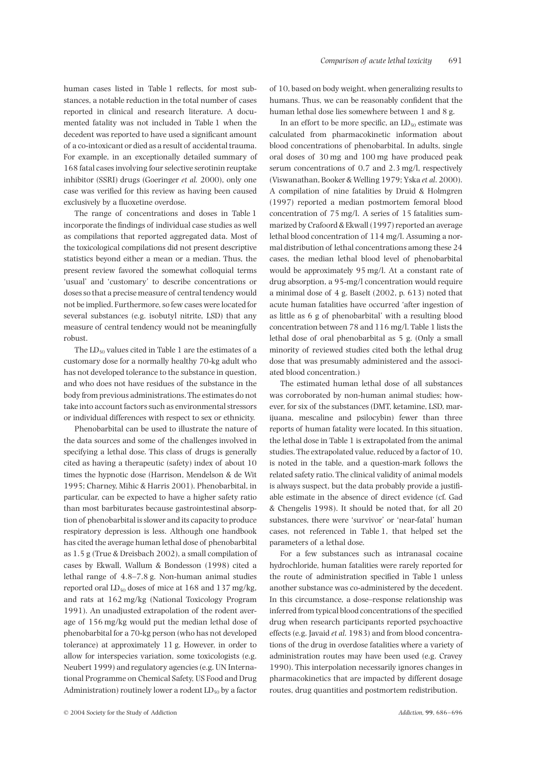human cases listed in Table 1 reflects, for most substances, a notable reduction in the total number of cases reported in clinical and research literature. A documented fatality was not included in Table 1 when the decedent was reported to have used a significant amount of a co-intoxicant or died as a result of accidental trauma. For example, in an exceptionally detailed summary of 168 fatal cases involving four selective serotinin reuptake inhibitor (SSRI) drugs (Goeringer *et al.* 2000), only one case was verified for this review as having been caused exclusively by a fluoxetine overdose.

The range of concentrations and doses in Table 1 incorporate the findings of individual case studies as well as compilations that reported aggregated data. Most of the toxicological compilations did not present descriptive statistics beyond either a mean or a median. Thus, the present review favored the somewhat colloquial terms 'usual' and 'customary' to describe concentrations or doses so that a precise measure of central tendency would not be implied. Furthermore, so few cases were located for several substances (e.g. isobutyl nitrite, LSD) that any measure of central tendency would not be meaningfully robust.

The  $LD_{50}$  values cited in Table 1 are the estimates of a customary dose for a normally healthy 70-kg adult who has not developed tolerance to the substance in question, and who does not have residues of the substance in the body from previous administrations. The estimates do not take into account factors such as environmental stressors or individual differences with respect to sex or ethnicity.

Phenobarbital can be used to illustrate the nature of the data sources and some of the challenges involved in specifying a lethal dose. This class of drugs is generally cited as having a therapeutic (safety) index of about 10 times the hypnotic dose (Harrison, Mendelson & de Wit 1995; Charney, Mihic & Harris 2001). Phenobarbital, in particular, can be expected to have a higher safety ratio than most barbiturates because gastrointestinal absorption of phenobarbital is slower and its capacity to produce respiratory depression is less. Although one handbook has cited the average human lethal dose of phenobarbital as 1.5 g (True & Dreisbach 2002), a small compilation of cases by Ekwall, Wallum & Bondesson (1998) cited a lethal range of 4.8–7.8 g. Non-human animal studies reported oral  $LD_{50}$  doses of mice at 168 and 137 mg/kg, and rats at 162 mg/kg (National Toxicology Program 1991). An unadjusted extrapolation of the rodent average of 156 mg/kg would put the median lethal dose of phenobarbital for a 70-kg person (who has not developed tolerance) at approximately 11 g. However, in order to allow for interspecies variation, some toxicologists (e.g. Neubert 1999) and regulatory agencies (e.g. UN International Programme on Chemical Safety, US Food and Drug Administration) routinely lower a rodent  $LD_{50}$  by a factor

of 10, based on body weight, when generalizing results to humans. Thus, we can be reasonably confident that the human lethal dose lies somewhere between 1 and 8 g.

In an effort to be more specific, an  $LD_{50}$  estimate was calculated from pharmacokinetic information about blood concentrations of phenobarbital. In adults, single oral doses of 30 mg and 100 mg have produced peak serum concentrations of 0.7 and 2.3 mg/l, respectively (Viswanathan, Booker & Welling 1979; Yska *et al*. 2000). A compilation of nine fatalities by Druid & Holmgren (1997) reported a median postmortem femoral blood concentration of 75 mg/l. A series of 15 fatalities summarized by Crafoord & Ekwall (1997) reported an average lethal blood concentration of 114 mg/l. Assuming a normal distribution of lethal concentrations among these 24 cases, the median lethal blood level of phenobarbital would be approximately 95 mg/l. At a constant rate of drug absorption, a 95-mg/l concentration would require a minimal dose of 4 g. Baselt (2002, p. 613) noted that acute human fatalities have occurred 'after ingestion of as little as 6 g of phenobarbital' with a resulting blood concentration between 78 and 116 mg/l. Table 1 lists the lethal dose of oral phenobarbital as 5 g. (Only a small minority of reviewed studies cited both the lethal drug dose that was presumably administered and the associated blood concentration.)

The estimated human lethal dose of all substances was corroborated by non-human animal studies; however, for six of the substances (DMT, ketamine, LSD, marijuana, mescaline and psilocybin) fewer than three reports of human fatality were located. In this situation, the lethal dose in Table 1 is extrapolated from the animal studies. The extrapolated value, reduced by a factor of 10, is noted in the table, and a question-mark follows the related safety ratio. The clinical validity of animal models is always suspect, but the data probably provide a justifiable estimate in the absence of direct evidence (cf. Gad & Chengelis 1998). It should be noted that, for all 20 substances, there were 'survivor' or 'near-fatal' human cases, not referenced in Table 1, that helped set the parameters of a lethal dose.

For a few substances such as intranasal cocaine hydrochloride, human fatalities were rarely reported for the route of administration specified in Table 1 unless another substance was co-administered by the decedent. In this circumstance, a dose–response relationship was inferred from typical blood concentrations of the specified drug when research participants reported psychoactive effects (e.g. Javaid *et al*. 1983) and from blood concentrations of the drug in overdose fatalities where a variety of administration routes may have been used (e.g. Cravey 1990). This interpolation necessarily ignores changes in pharmacokinetics that are impacted by different dosage routes, drug quantities and postmortem redistribution.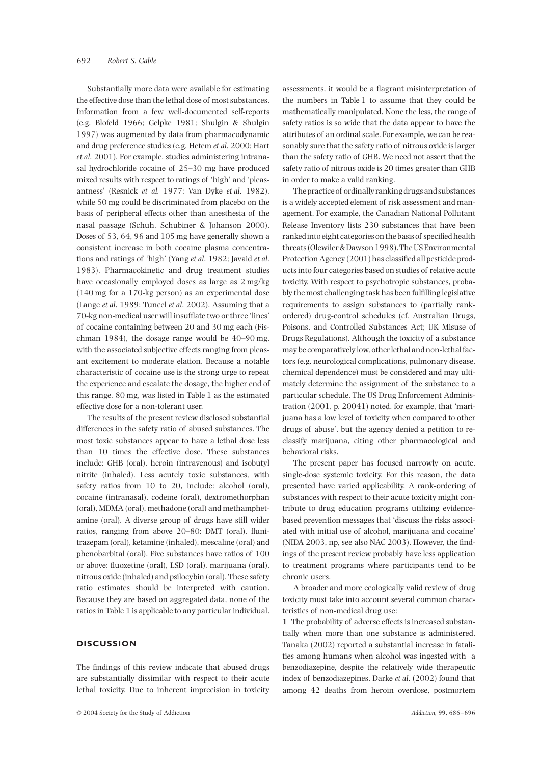Substantially more data were available for estimating the effective dose than the lethal dose of most substances. Information from a few well-documented self-reports (e.g. Blofeld 1966; Gelpke 1981; Shulgin & Shulgin 1997) was augmented by data from pharmacodynamic and drug preference studies (e.g. Hetem *et al*. 2000; Hart *et al*. 2001). For example, studies administering intranasal hydrochloride cocaine of 25–30 mg have produced mixed results with respect to ratings of 'high' and 'pleasantness' (Resnick *et al.* 1977; Van Dyke *et al*. 1982), while 50 mg could be discriminated from placebo on the basis of peripheral effects other than anesthesia of the nasal passage (Schuh, Schubiner & Johanson 2000). Doses of 53, 64, 96 and 105 mg have generally shown a consistent increase in both cocaine plasma concentrations and ratings of 'high' (Yang *et al*. 1982; Javaid *et al*. 1983). Pharmacokinetic and drug treatment studies have occasionally employed doses as large as 2 mg/kg (140 mg for a 170-kg person) as an experimental dose (Lange *et al*. 1989; Tuncel *et al*. 2002). Assuming that a 70-kg non-medical user will insufflate two or three 'lines' of cocaine containing between 20 and 30 mg each (Fischman 1984), the dosage range would be 40–90 mg, with the associated subjective effects ranging from pleasant excitement to moderate elation. Because a notable characteristic of cocaine use is the strong urge to repeat the experience and escalate the dosage, the higher end of this range, 80 mg, was listed in Table 1 as the estimated effective dose for a non-tolerant user.

The results of the present review disclosed substantial differences in the safety ratio of abused substances. The most toxic substances appear to have a lethal dose less than 10 times the effective dose. These substances include: GHB (oral), heroin (intravenous) and isobutyl nitrite (inhaled). Less acutely toxic substances, with safety ratios from 10 to 20, include: alcohol (oral), cocaine (intranasal), codeine (oral), dextromethorphan (oral), MDMA (oral), methadone (oral) and methamphetamine (oral). A diverse group of drugs have still wider ratios, ranging from above 20–80: DMT (oral), flunitrazepam (oral), ketamine (inhaled), mescaline (oral) and phenobarbital (oral). Five substances have ratios of 100 or above: fluoxetine (oral), LSD (oral), marijuana (oral), nitrous oxide (inhaled) and psilocybin (oral). These safety ratio estimates should be interpreted with caution. Because they are based on aggregated data, none of the ratios in Table 1 is applicable to any particular individual.

## **DISCUSSION**

The findings of this review indicate that abused drugs are substantially dissimilar with respect to their acute lethal toxicity. Due to inherent imprecision in toxicity

assessments, it would be a flagrant misinterpretation of the numbers in Table 1 to assume that they could be mathematically manipulated. None the less, the range of safety ratios is so wide that the data appear to have the attributes of an ordinal scale. For example, we can be reasonably sure that the safety ratio of nitrous oxide is larger than the safety ratio of GHB. We need not assert that the safety ratio of nitrous oxide is 20 times greater than GHB in order to make a valid ranking.

The practice of ordinally ranking drugs and substances is a widely accepted element of risk assessment and management. For example, the Canadian National Pollutant Release Inventory lists 230 substances that have been ranked into eight categories on the basis of specified health threats (Olewiler & Dawson 1998). The US Environmental Protection Agency (2001) has classified all pesticide products into four categories based on studies of relative acute toxicity. With respect to psychotropic substances, probably the most challenging task has been fulfilling legislative requirements to assign substances to (partially rankordered) drug-control schedules (cf. Australian Drugs, Poisons, and Controlled Substances Act; UK Misuse of Drugs Regulations). Although the toxicity of a substance may be comparatively low, other lethal and non-lethal factors (e.g. neurological complications, pulmonary disease, chemical dependence) must be considered and may ultimately determine the assignment of the substance to a particular schedule. The US Drug Enforcement Administration (2001, p. 20041) noted, for example, that 'marijuana has a low level of toxicity when compared to other drugs of abuse', but the agency denied a petition to reclassify marijuana, citing other pharmacological and behavioral risks.

The present paper has focused narrowly on acute, single-dose systemic toxicity. For this reason, the data presented have varied applicability. A rank-ordering of substances with respect to their acute toxicity might contribute to drug education programs utilizing evidencebased prevention messages that 'discuss the risks associated with initial use of alcohol, marijuana and cocaine' (NIDA 2003, np, see also NAC 2003). However, the findings of the present review probably have less application to treatment programs where participants tend to be chronic users.

A broader and more ecologically valid review of drug toxicity must take into account several common characteristics of non-medical drug use:

**1** The probability of adverse effects is increased substantially when more than one substance is administered. Tanaka (2002) reported a substantial increase in fatalities among humans when alcohol was ingested with a benzodiazepine, despite the relatively wide therapeutic index of benzodiazepines. Darke *et al*. (2002) found that among 42 deaths from heroin overdose, postmortem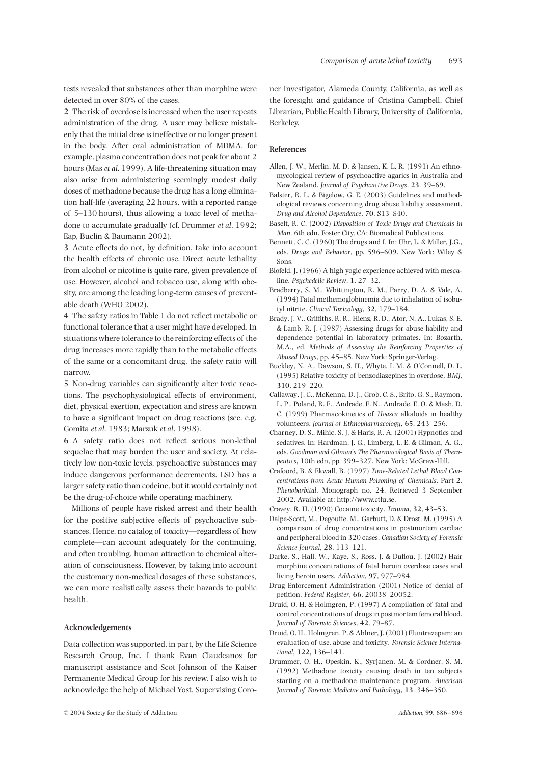tests revealed that substances other than morphine were detected in over 80% of the cases.

**2** The risk of overdose is increased when the user repeats administration of the drug. A user may believe mistakenly that the initial dose is ineffective or no longer present in the body. After oral administration of MDMA, for example, plasma concentration does not peak for about 2 hours (Mas *et al*. 1999). A life-threatening situation may also arise from administering seemingly modest daily doses of methadone because the drug has a long elimination half-life (averaging 22 hours, with a reported range of 5–130 hours), thus allowing a toxic level of methadone to accumulate gradually (cf. Drummer *et al*. 1992; Eap, Buclin & Baumann 2002).

**3** Acute effects do not, by definition, take into account the health effects of chronic use. Direct acute lethality from alcohol or nicotine is quite rare, given prevalence of use. However, alcohol and tobacco use, along with obesity, are among the leading long-term causes of preventable death (WHO 2002).

**4** The safety ratios in Table 1 do not reflect metabolic or functional tolerance that a user might have developed. In situations where tolerance to the reinforcing effects of the drug increases more rapidly than to the metabolic effects of the same or a concomitant drug, the safety ratio will narrow.

**5** Non-drug variables can significantly alter toxic reactions. The psychophysiological effects of environment, diet, physical exertion, expectation and stress are known to have a significant impact on drug reactions (see, e.g. Gomita *et al*. 1983; Marzuk *et al*. 1998).

**6** A safety ratio does not reflect serious non-lethal sequelae that may burden the user and society. At relatively low non-toxic levels, psychoactive substances may induce dangerous performance decrements. LSD has a larger safety ratio than codeine, but it would certainly not be the drug-of-choice while operating machinery.

Millions of people have risked arrest and their health for the positive subjective effects of psychoactive substances. Hence, no catalog of toxicity—regardless of how complete—can account adequately for the continuing, and often troubling, human attraction to chemical alteration of consciousness. However, by taking into account the customary non-medical dosages of these substances, we can more realistically assess their hazards to public health.

### **Acknowledgements**

Data collection was supported, in part, by the Life Science Research Group, Inc. I thank Evan Claudeanos for manuscript assistance and Scot Johnson of the Kaiser Permanente Medical Group for his review. I also wish to acknowledge the help of Michael Yost, Supervising Coro-

ner Investigator, Alameda County, California, as well as the foresight and guidance of Cristina Campbell, Chief Librarian, Public Health Library, University of California, Berkeley.

#### **References**

- Allen, J. W., Merlin, M. D. & Jansen, K. L. R. (1991) An ethnomycological review of psychoactive agarics in Australia and New Zealand. *Journal of Psychoactive Drugs*, **23**, 39–69.
- Balster, R. L. & Bigelow, G. E. (2003) Guidelines and methodological reviews concerning drug abuse liability assessment. *Drug and Alcohol Dependence*, **70**, S13–S40.
- Baselt, R. C. (2002) *Disposition of Toxic Drugs and Chemicals in Man*, 6th edn. Foster City, CA: Biomedical Publications.
- Bennett, C. C. (1960) The drugs and I. In: Uhr, L. & Miller, J.G., eds. *Drugs and Behavior*, pp. 596–609. New York: Wiley & Sons.
- Blofeld, J. (1966) A high yogic experience achieved with mescaline. *Psychedelic Review*, **1**, 27–32.
- Bradberry, S. M., Whittington, R. M., Parry, D. A. & Vale, A. (1994) Fatal methemoglobinemia due to inhalation of isobutyl nitrite. *Clinical Toxicology*, **32**, 179–184.
- Brady, J. V., Griffiths, R. R., Hienz, R. D., Ator, N. A., Lukas, S. E. & Lamb, R. J. (1987) Assessing drugs for abuse liability and dependence potential in laboratory primates. In: Bozarth, M.A., ed. *Methods of Assessing the Reinforcing Properties of Abused Drugs*, pp. 45–85. New York: Springer-Verlag.
- Buckley, N. A., Dawson, S. H., Whyte, I. M. & O'Connell, D. L. (1995) Relative toxicity of benzodiazepines in overdose. *BMJ*, **310**, 219–220.
- Callaway, J. C., McKenna, D. J., Grob, C. S., Brito, G. S., Raymon, L. P., Poland, R. E., Andrade, E. N., Andrade, E. O. & Mash, D. C. (1999) Pharmacokinetics of *Hoasca* alkaloids in healthy volunteers. *Journal of Ethnopharmacology*, **65**, 243–256.
- Charney, D. S., Mihic, S. J. & Haris, R. A. (2001) Hypnotics and sedatives. In: Hardman, J. G., Limberg, L. E. & Gilman, A. G., eds. *Goodman and Gilman's The Pharmacological Basis of Therapeutics*, 10th edn, pp. 399–327. New York: McGraw-Hill.
- Crafoord, B. & Ekwall, B. (1997) *Time-Related Lethal Blood Concentrations from Acute Human Poisoning of Chemicals*. Part 2. *Phenobarbital*. Monograph no. 24. Retrieved 3 September 2002. Available at: [http://www.ctlu.se.](http://www.ctlu.se)
- Cravey, R. H. (1990) Cocaine toxicity. *Trauma*, **32**, 43–53.
- Dalpe-Scott, M., Degouffe, M., Garbutt, D. & Drost, M. (1995) A comparison of drug concentrations in postmortem cardiac and peripheral blood in 320 cases. *Canadian Society of Forensic Science Journal*, **28**, 113–121.
- Darke, S., Hall, W., Kaye, S., Ross, J. & Duflou, J. (2002) Hair morphine concentrations of fatal heroin overdose cases and living heroin users. *Addiction*, **97**, 977–984.
- Drug Enforcement Administration (2001) Notice of denial of petition. *Federal Register*, **66**, 20038–20052.
- Druid, O. H. & Holmgren, P. (1997) A compilation of fatal and control concentrations of drugs in postmortem femoral blood. *Journal of Forensic Sciences*, **42**, 79–87.
- Druid, O. H., Holmgren, P. & Ahlner, J. (2001) Fluntrazepam: an evaluation of use, abuse and toxicity. *Forensic Science International*, **122**, 136–141.
- Drummer, O. H., Opeskin, K., Syrjanen, M. & Cordner, S. M. (1992) Methadone toxicity causing death in ten subjects starting on a methadone maintenance program. *American Journal of Forensic Medicine and Pathology*, **13**, 346–350.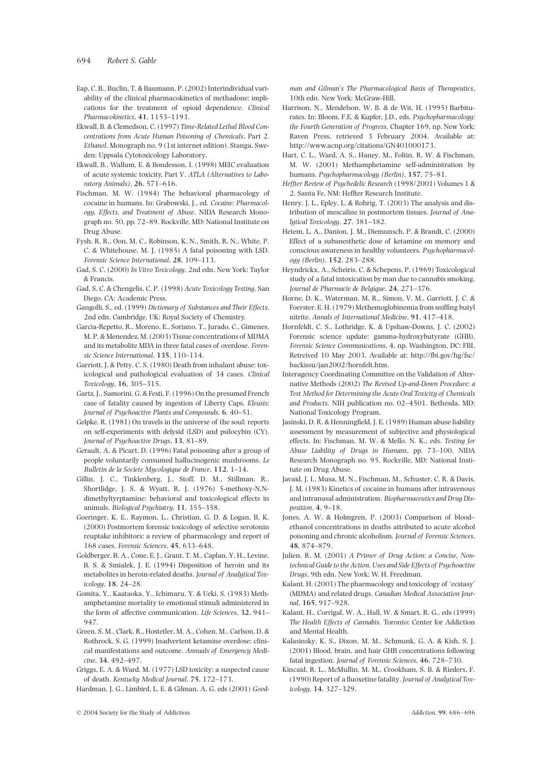- Eap, C. B., Buclin, T. & Baumann, P. (2002) Interindividual variability of the clinical pharmacokinetics of methadone: implications for the treatment of opioid dependence. *Clinical Pharmacokinetics*, **41**, 1153–1193.
- Ekwall, B. & Clemedson, C. (1997) *Time-Related Lethal Blood Concentrations from Acute Human Poisoning of Chemicals*, Part 2. *Ethanol*. Monograph no. 9 (1st internet edition). Stanga, Sweden: Uppsala Cytotoxicology Laboratory.
- Ekwall, B., Wallum, E. & Bondesson, I. (1998) MEIC evaluation of acute systemic toxicity, Part V. *ATLA (Alternatives to Laboratory Animals)*, **26**, 571–616.
- Fischman, M. W. (1984) The behavioral pharmacology of cocaine in humans. In: Grabowski, J., ed. *Cocaine: Pharmacology, Effects, and Treatment of Abuse*. NIDA Research Monograph no. 50, pp. 72–89. Rockville, MD: National Institute on Drug Abuse.
- Fysh, R. R., Oon, M. C., Robinson, K. N., Smith, R. N., White, P. C. & Whitehouse, M. J. (1985) A fatal poisoning with LSD. *Forensic Science International*, **28**, 109–113.
- Gad, S. C. (2000) *In Vitro Toxicology*, 2nd edn. New York: Taylor & Francis.
- Gad, S. C. & Chengelis, C. P. (1998) *Acute Toxicology Testing*. San Diego, CA: Academic Press.
- Gangolli, S., ed. (1999) *Dictionary of Substances and Their Effects*, 2nd edn. Cambridge, UK: Royal Society of Chemistry.
- Garcia-Repetto, R., Moreno, E., Soriano, T., Jurado, C., Gimenes, M. P. & Menendez, M. (2003) Tissue concentrations of MDMA and its metabolite MDA in three fatal cases of overdose. *Forensic Science International*, **135**, 110–114.
- Garriott, J. & Petty, C. S. (1980) Death from inhalant abuse: toxicological and pathological evaluation of 34 cases. *Clinical Toxicology*, **16**, 305–315.
- Gartz, J., Samorini, G. & Festi, F. (1996) On the presumed French case of fatality caused by ingestion of Liberty Caps. *Eleusis: Journal of Psychoactive Plants and Compounds*, **6**, 40–51.
- Gelpke, R. (1981) On travels in the universe of the soul: reports on self-experiments with delysid (LSD) and psilocybin (CY). *Journal of Psychoactive Drugs*, **13**, 81–89.
- Gerault, A. & Picart, D. (1996) Fatal poisoning after a group of people voluntarily consumed hallucinogenic mushrooms. *Le Bulletin de la Societe Mycologique de France*, **112**, 1–14.
- Gillin, J. C., Tinklenberg, J., Stoff, D. M., Stillman, R., Shortlidge, J. S. & Wyatt, R. J. (1976) 5-methoxy-N,Ndimethyltyrptamine: behavioral and toxicological effects in animals. *Biological Psychiatry*, **11**, 355–358.
- Goeringer, K. E., Raymon, L., Christian, G. D. & Logan, B. K. (2000) Postmortem forensic toxicology of selective serotonin reuptake inhibitors: a review of pharmacology and report of 168 cases. *Forensic Sciences*, **45**, 633–648.
- Goldberger, B. A., Cone, E. J., Grant, T. M., Caplan, Y. H., Levine, B. S. & Smialek, J. E. (1994) Disposition of heroin and its metabolites in heroin-related deaths. *Journal of Analytical Toxicology*, **18**, 24–28.
- Gomita, Y., Kaataoka, Y., Ichimaru, Y. & Ueki, S. (1983) Methamphetamine mortality to emotional stimuli administered in the form of affective communication. *Life Sciences*, **32**, 941– 947.
- Green, S. M., Clark, R., Hostetler, M. A., Cohen, M., Carlson, D. & Rothrock, S. G. (1999) Inadvertent ketamine overdose: clinical manifestations and outcome. *Annuals of Emergency Medicine*, **34**, 492–497.
- Griggs, E. A. & Ward, M. (1977) LSD toxicity: a suspected cause of death. *Kentucky Medical Journal*, **75**, 172–173.

Hardman, J. G., Limbird, L. E. & Gilman, A. G. eds (2001) *Good-*

*man and Gilman's The Pharmacological Basis of Therapeutics*, 10th edn. New York: McGraw-Hill.

- Harrison, N., Mendelson, W. B. & de Wit, H. (1995) Barbiturates. In: Bloom, F.E. & Kupfer, J.D., eds. *Psychopharmacology: the Fourth Generation of Progress*, Chapter 169, np. New York: Raven Press, retrieved 3 February 2004. Available at: [http://www.acnp.org/citations/GN401000173.](http://www.acnp.org/citations/GN401000173)
- Hart, C. L., Ward, A. S., Haney, M., Foltin, R. W. & Fischman, M. W. (2001) Methamphetamine self-administration by humans. *Psychopharmacology (Berlin)*, **157**, 75–81.
- *Heffter Review of Psychedelic Research* (1998/2001) Volumes 1 & 2. Santa Fe, NM: Heffter Research Institute.
- Henry, J. L., Epley, L. & Rohrig, T. (2003) The analysis and distribution of mescaline in postmortem tissues. *Journal of Analytical Toxicology*, **27**, 381–382.
- Hetem, L. A., Danion, J. M., Diemunsch, P. & Brandt, C. (2000) Effect of a subanesthetic dose of ketamine on memory and conscious awareness in healthy volunteers. *Psychopharmacology (Berlin)*, **152**, 283–288.
- Heyndrickx, A., Scheiris, C. & Schepens, P. (1969) Toxicological study of a fatal intoxication by man due to cannabis smoking. *Journal de Pharmacie de Belgique*, **24**, 271–376.
- Horne, D. K., Waterman, M. R., Simon, V. M., Garriott, J. C. & Foerster, E. H. (1979) Methemoglobinemia from sniffing butyl nitrite. *Annals of International Medicine*, **91**, 417–418.
- Hornfeldt, C. S., Lothridge, K. & Upshaw-Downs, J. C. (2002) Forensic science update: gamma-hydroxybutyrate (GHB). *Forensic Science Communications*, 4, np. Washington, DC: FBI. Retreived 10 May 2003. Available at: <http://fbi.gov/hg/fsc/> backissu/jan2002/hornfelt.htm.
- Interagency Coordinating Committee on the Validation of Alternative Methods (2002) *The Revised Up-and-Down Procedure: a Test Method for Determining the Acute Oral Toxicity of Chemicals and Products.* NIH publication no. 02–4501. Bethesda, MD: National Toxicology Program.
- Jasinski, D. R. & Henningfield, J. E. (1989) Human abuse liability assessment by measurement of subjective and physiological effects. In: Fischman, M. W. & Mello, N. K., eds. *Testing for Abuse Liability of Drugs in Humans*, pp. 73–100. NIDA Research Monograph no. 95. Rockville, MD: National Institute on Drug Abuse.
- Javaid, J. I., Musa, M. N., Fischman, M., Schuster, C. R. & Davis, J. M. (1983) Kinetics of cocaine in humans after intravenous and intranasal administration. *Biopharmaceutics and Drug Disposition*, **4**, 9–18.
- Jones, A. W. & Holmgren, P. (2003) Comparison of blood– ethanol concentrations in deaths attributed to acute alcohol poisoning and chronic alcoholism. *Journal of Forensic Sciences*, **48**, 874–879.
- Julien, R. M. (2001) *A Primer of Drug Action: a Concise, Nontechnical Guide to the Action, Uses and Side Effects of Psychoactive Drugs*, 9th edn. New York: W. H. Freedman.
- Kalant, H. (2001) The pharmacology and toxicology of 'ecstasy' (MDMA) and related drugs. *Canadian Medical Association Journal*, **165**, 917–928.
- Kalant, H., Corrigal, W. A., Hall, W. & Smart, R. G., eds (1999) *The Health Effects of Cannabis*. Toronto: Center for Addiction and Mental Health.
- Kalasinsky, K. S., Dixon, M. M., Schmunk, G. A. & Kish, S. J. (2001) Blood, brain, and hair GHB concentrations following fatal ingestion. *Journal of Forensic Sciences*, **46**, 728–730.
- Kincaid, R. L., McMullin, M. M., Crookham, S. B. & Rieders, F. (1990) Report of a fluoxetine fatality. *Journal of Analytical Toxicology*, **14**, 327–329.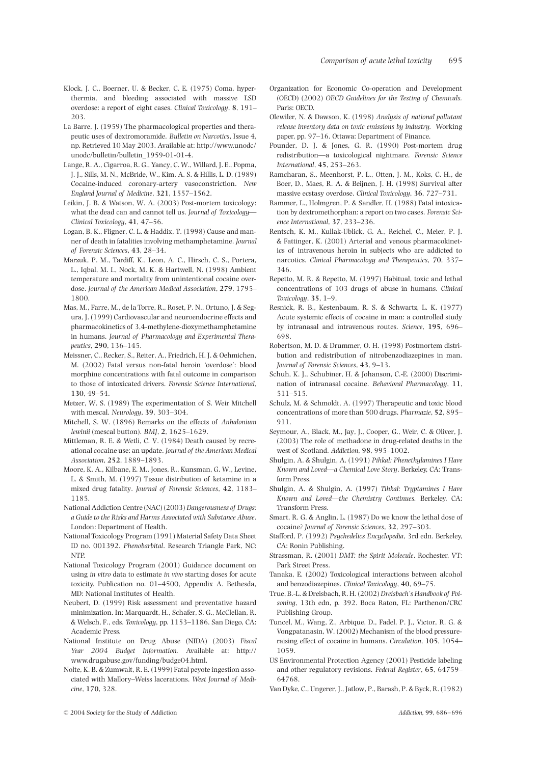- Klock, J. C., Boerner, U. & Becker, C. E. (1975) Coma, hyperthermia, and bleeding associated with massive LSD overdose: a report of eight cases. *Clinical Toxicology*, **8**, 191– 203.
- La Barre, J. (1959) The pharmacological properties and therapeutic uses of dextromoramide. *Bulletin on Narcotics*, Issue 4, np. Retrieved 10 May 2003. Available at: <http://www.unodc/> unodc/bulletin/bulletin\_1959-01-01-4.
- Lange, R. A., Cigarroa, R. G., Yancy, C. W., Willard, J. E., Popma, J. J., Sills, M. N., McBride, W., Kim, A. S. & Hillis, L. D. (1989) Cocaine-induced coronary-artery vasoconstriction. *New England Journal of Medicine*, **321**, 1557–1562.
- Leikin, J. B. & Watson, W. A. (2003) Post-mortem toxicology: what the dead can and cannot tell us. *Journal of Toxicology— Clinical Toxicology*, **41**, 47–56.
- Logan, B. K., Fligner, C. L. & Haddix, T. (1998) Cause and manner of death in fatalities involving methamphetamine. *Journal of Forensic Sciences*, **43**, 28–34.
- Marzuk, P. M., Tardiff, K., Leon, A. C., Hirsch, C. S., Portera, L., Iqbal, M. I., Nock, M. K. & Hartwell, N. (1998) Ambient temperature and mortality from unintentional cocaine overdose. *Journal of the American Medical Association*, **279**, 1795– 1800.
- Mas, M., Farre, M., de la Torre, R., Roset, P. N., Ortuno, J. & Segura, J. (1999) Cardiovascular and neuroendocrine effects and pharmacokinetics of 3,4-methylene-dioxymethamphetamine in humans. *Journal of Pharmacology and Experimental Therapeutics*, **290**, 136–145.
- Meissner, C., Recker, S., Reiter, A., Friedrich, H. J. & Oehmichen, M. (2002) Fatal versus non-fatal heroin 'overdose': blood morphine concentrations with fatal outcome in comparison to those of intoxicated drivers. *Forensic Science International*, **130**, 49–54.
- Metzer, W. S. (1989) The experimentation of S. Weir Mitchell with mescal. *Neurology*, **39**, 303–304.
- Mitchell, S. W. (1896) Remarks on the effects of *Anhalonium lewinii* (mescal button). *BMJ*, **2**, 1625–1629.
- Mittleman, R. E. & Wetli, C. V. (1984) Death caused by recreational cocaine use: an update. *Journal of the American Medical Association*, **252**, 1889–1893.
- Moore, K. A., Kilbane, E. M., Jones, R., Kunsman, G. W., Levine, L. & Smith, M. (1997) Tissue distribution of ketamine in a mixed drug fatality. *Journal of Forensic Sciences*, **42**, 1183– 1185.
- National Addiction Centre (NAC) (2003) *Dangerousness of Drugs: a Guide to the Risks and Harms Associated with Substance Abuse*. London: Department of Health.
- National Toxicology Program (1991) Material Safety Data Sheet ID no. 001392. *Phenobarbital*. Research Triangle Park, NC: NTP.
- National Toxicology Program (2001) Guidance document on using *in vitro* data to estimate *in vivo* starting doses for acute toxicity. Publication no. 01–4500, Appendix A. Bethesda, MD: National Institutes of Health.
- Neubert, D. (1999) Risk assessment and preventative hazard minimization. In: Marquardt, H., Schafer, S. G., McClellan, R. & Welsch, F., eds. *Toxicology*, pp. 1153–1186. San Diego, CA: Academic Press.
- National Institute on Drug Abuse (NIDA) (2003) *Fiscal Year 2004 Budget Information.* Available at: <http://> www.drugabuse.gov/funding/budge04.html.
- Nolte, K. B. & Zumwalt, R. E. (1999) Fatal peyote ingestion associated with Mallory–Weiss lacerations. *West Journal of Medicine*, **170**, 328.
- Organization for Economic Co-operation and Development (OECD) (2002) *OECD Guidelines for the Testing of Chemicals.* Paris: OECD.
- Olewiler, N. & Dawson, K. (1998) *Analysis of national pollutant release inventory data on toxic emissions by industry.* Working paper, pp. 97–16. Ottawa: Department of Finance.
- Pounder, D. J. & Jones, G. R. (1990) Post-mortem drug redistribution—a toxicological nightmare. *Forensic Science International*, **45**, 253–263.
- Ramcharan, S., Meenhorst, P. L., Otten, J. M., Koks, C. H., de Boer, D., Maes, R. A. & Beijnen, J. H. (1998) Survival after massive ecstasy overdose. *Clinical Toxicology*, **36**, 727–731.
- Rammer, L., Holmgren, P. & Sandler, H. (1988) Fatal intoxication by dextromethorphan: a report on two cases. *Forensic Science International*, **37**, 233–236.
- Rentsch, K. M., Kullak-Ublick, G. A., Reichel, C., Meier, P. J. & Fattinger, K. (2001) Arterial and venous pharmacokinetics of intravenous heroin in subjects who are addicted to narcotics. *Clinical Pharmacology and Therapeutics*, **70**, 337– 346.
- Repetto, M. R. & Repetto, M. (1997) Habitual, toxic and lethal concentrations of 103 drugs of abuse in humans. *Clinical Toxicology*, **35**, 1–9.
- Resnick, R. B., Kestenbaum, R. S. & Schwartz, L. K. (1977) Acute systemic effects of cocaine in man: a controlled study by intranasal and intravenous routes. *Science*, **195**, 696– 698.
- Robertson, M. D. & Drummer, O. H. (1998) Postmortem distribution and redistribution of nitrobenzodiazepines in man. *Journal of Forensic Sciences*, **43**, 9–13.
- Schuh, K. J., Schubiner, H. & Johanson, C.-E. (2000) Discrimination of intranasal cocaine. *Behavioral Pharmacology*, **11**, 511–515.
- Schulz, M. & Schmoldt, A. (1997) Therapeutic and toxic blood concentrations of more than 500 drugs. *Pharmazie*, **52**, 895– 911.
- Seymour, A., Black, M., Jay, J., Cooper, G., Weir, C. & Oliver, J. (2003) The role of methadone in drug-related deaths in the west of Scotland. *Addiction*, **98**, 995–1002.
- Shulgin, A. & Shulgin, A. (1991) *Pihkal: Phenethylamines I Have Known and Loved—a Chemical Love Story*. Berkeley, CA: Transform Press.
- Shulgin, A. & Shulgin, A. (1997) *Tihkal: Tryptamines I Have Known and Loved—the Chemistry Continues.* Berkeley, CA: Transform Press.
- Smart, R. G. & Anglin, L. (1987) Do we know the lethal dose of cocaine? *Journal of Forensic Sciences*, **32**, 297–303.
- Stafford, P. (1992) *Psychedelics Encyclopedia*, 3rd edn. Berkeley, CA: Ronin Publishing.
- Strassman, R. (2001) *DMT: the Spirit Molecule*. Rochester, VT: Park Street Press.
- Tanaka, E. (2002) Toxicological interactions between alcohol and benzodiazepines. *Clinical Toxicology*, **40**, 69–75.
- True, B.-L. & Dreisbach, R. H. (2002) *Dreisbach's Handbook of Poisoning*, 13th edn, p. 392. Boca Raton, FL: Parthenon/CRC Publishing Group.
- Tuncel, M., Wang, Z., Arbique, D., Fadel, P. J., Victor, R. G. & Vongpatanasin, W. (2002) Mechanism of the blood pressureraising effect of cocaine in humans. *Circulation*, **105**, 1054– 1059.
- US Environmental Protection Agency (2001) Pesticide labeling and other regulatory revisions. *Federal Register*, **65**, 64759– 64768.
- Van Dyke, C., Ungerer, J., Jatlow, P., Barash, P. & Byck, R. (1982)